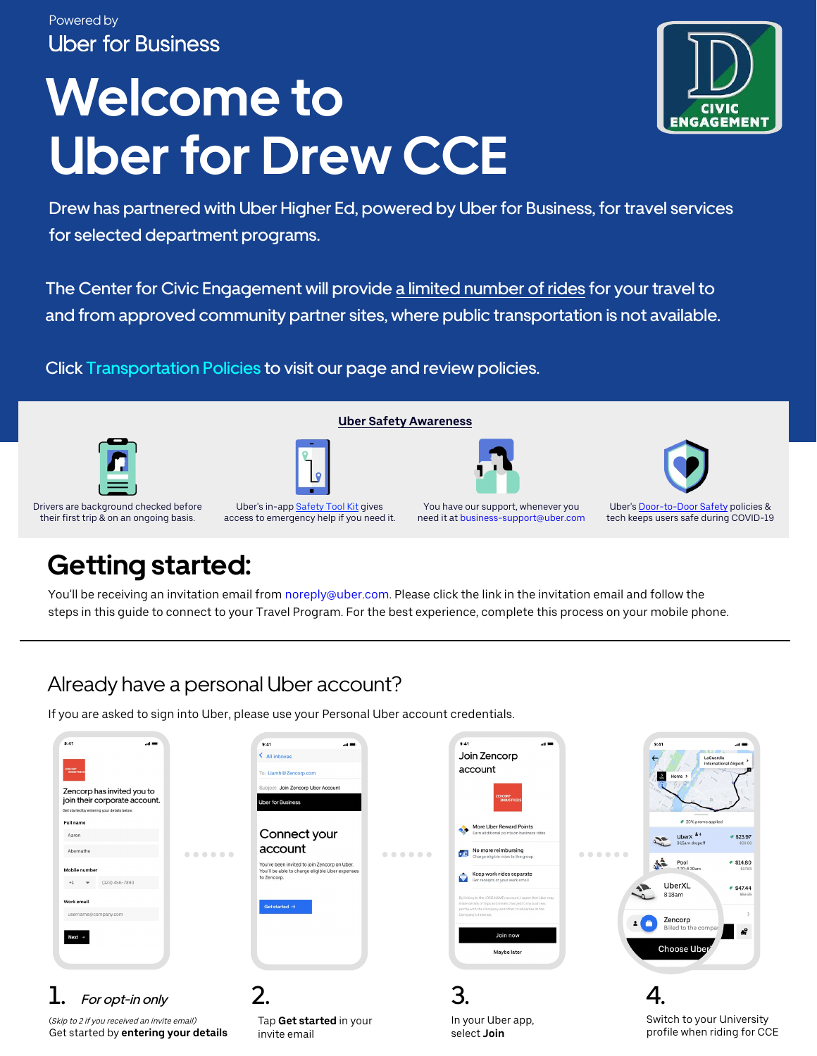#### Powered by **Uber for Business**

# **Welcome to Uber for Drew CCE**



Drew has partnered with Uber Higher Ed, powered by Uber for Business, for travel services for selected department programs.

The Center for Civic Engagement will provide a limited number of rides for your travel to and from approved community partner sites, where public transportation is not available.

**Uber Safety Awareness**

Click Transportation Policies to visit our page and review policies.







Drivers are background checked before their first trip & on an ongoing basis.

Uber's in-app Safety Tool Kit gives access to emergency help if you need it.

You have our support, whenever you need it at business-support@uber.com

Uber's Door-to-Door Safety policies & tech keeps users safe during COVID-19

# **Getting started:**

You'll be receiving an invitation email from noreply@uber.com. Please click the link in the invitation email and follow the steps in this guide to connect to your Travel Program. For the best experience, complete this process on your mobile phone.

### Already have a personal Uber account?

If you are asked to sign into Uber, please use your Personal Uber account credentials.